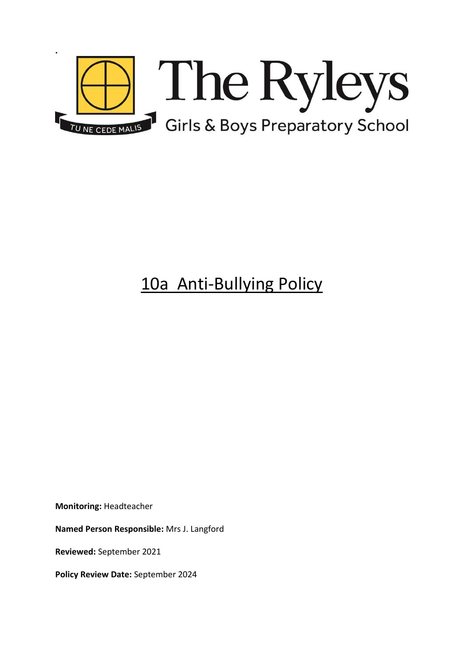

# 10a Anti-Bullying Policy

**Monitoring:** Headteacher

**Named Person Responsible:** Mrs J. Langford

**Reviewed:** September 2021

**Policy Review Date:** September 2024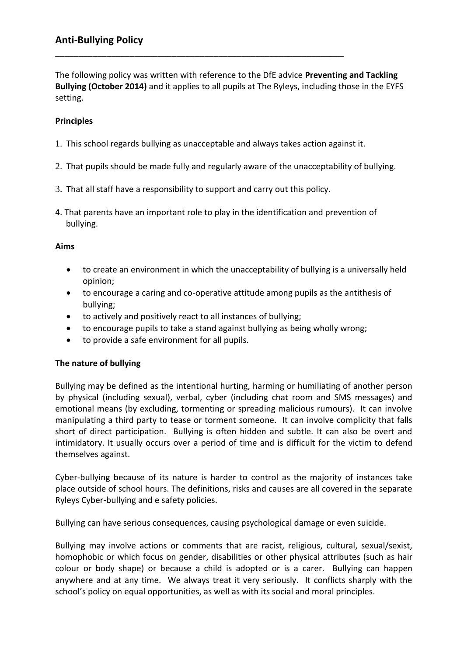# **Anti-Bullying Policy**

The following policy was written with reference to the DfE advice **Preventing and Tackling Bullying (October 2014)** and it applies to all pupils at The Ryleys, including those in the EYFS setting.

### **Principles**

1. This school regards bullying as unacceptable and always takes action against it.

\_\_\_\_\_\_\_\_\_\_\_\_\_\_\_\_\_\_\_\_\_\_\_\_\_\_\_\_\_\_\_\_\_\_\_\_\_\_\_\_\_\_\_\_\_\_\_\_\_\_\_\_\_\_\_\_\_\_\_\_\_\_

- 2. That pupils should be made fully and regularly aware of the unacceptability of bullying.
- 3. That all staff have a responsibility to support and carry out this policy.
- 4. That parents have an important role to play in the identification and prevention of bullying.

#### **Aims**

- to create an environment in which the unacceptability of bullying is a universally held opinion;
- to encourage a caring and co-operative attitude among pupils as the antithesis of bullying;
- to actively and positively react to all instances of bullying;
- to encourage pupils to take a stand against bullying as being wholly wrong;
- to provide a safe environment for all pupils.

#### **The nature of bullying**

Bullying may be defined as the intentional hurting, harming or humiliating of another person by physical (including sexual), verbal, cyber (including chat room and SMS messages) and emotional means (by excluding, tormenting or spreading malicious rumours). It can involve manipulating a third party to tease or torment someone. It can involve complicity that falls short of direct participation. Bullying is often hidden and subtle. It can also be overt and intimidatory. It usually occurs over a period of time and is difficult for the victim to defend themselves against.

Cyber-bullying because of its nature is harder to control as the majority of instances take place outside of school hours. The definitions, risks and causes are all covered in the separate Ryleys Cyber-bullying and e safety policies.

Bullying can have serious consequences, causing psychological damage or even suicide.

Bullying may involve actions or comments that are racist, religious, cultural, sexual/sexist, homophobic or which focus on gender, disabilities or other physical attributes (such as hair colour or body shape) or because a child is adopted or is a carer. Bullying can happen anywhere and at any time. We always treat it very seriously. It conflicts sharply with the school's policy on equal opportunities, as well as with its social and moral principles.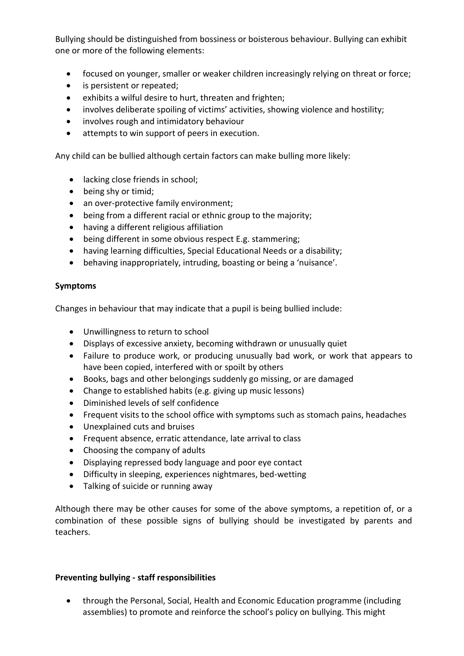Bullying should be distinguished from bossiness or boisterous behaviour. Bullying can exhibit one or more of the following elements:

- focused on younger, smaller or weaker children increasingly relying on threat or force;
- is persistent or repeated;
- exhibits a wilful desire to hurt, threaten and frighten;
- involves deliberate spoiling of victims' activities, showing violence and hostility;
- involves rough and intimidatory behaviour
- attempts to win support of peers in execution.

Any child can be bullied although certain factors can make bulling more likely:

- lacking close friends in school;
- being shy or timid;
- an over-protective family environment;
- being from a different racial or ethnic group to the majority;
- having a different religious affiliation
- being different in some obvious respect E.g. stammering;
- having learning difficulties, Special Educational Needs or a disability;
- behaving inappropriately, intruding, boasting or being a 'nuisance'.

## **Symptoms**

Changes in behaviour that may indicate that a pupil is being bullied include:

- Unwillingness to return to school
- Displays of excessive anxiety, becoming withdrawn or unusually quiet
- Failure to produce work, or producing unusually bad work, or work that appears to have been copied, interfered with or spoilt by others
- Books, bags and other belongings suddenly go missing, or are damaged
- Change to established habits (e.g. giving up music lessons)
- Diminished levels of self confidence
- Frequent visits to the school office with symptoms such as stomach pains, headaches
- Unexplained cuts and bruises
- Frequent absence, erratic attendance, late arrival to class
- Choosing the company of adults
- Displaying repressed body language and poor eye contact
- Difficulty in sleeping, experiences nightmares, bed-wetting
- Talking of suicide or running away

Although there may be other causes for some of the above symptoms, a repetition of, or a combination of these possible signs of bullying should be investigated by parents and teachers.

# **Preventing bullying - staff responsibilities**

 through the Personal, Social, Health and Economic Education programme (including assemblies) to promote and reinforce the school's policy on bullying. This might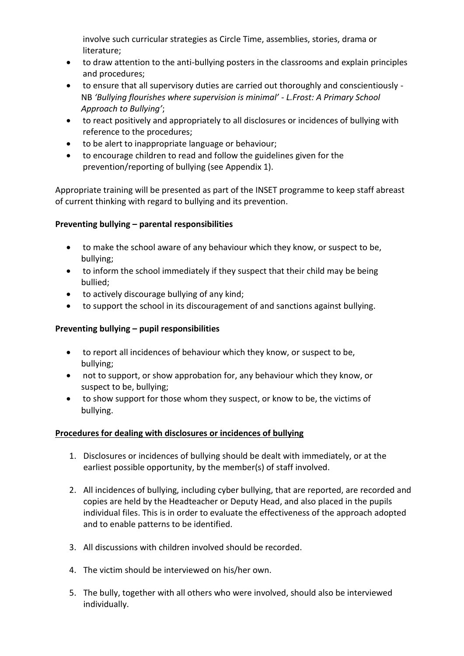involve such curricular strategies as Circle Time, assemblies, stories, drama or literature;

- to draw attention to the anti-bullying posters in the classrooms and explain principles and procedures;
- to ensure that all supervisory duties are carried out thoroughly and conscientiously NB *'Bullying flourishes where supervision is minimal' - L.Frost: A Primary School Approach to Bullying'*;
- to react positively and appropriately to all disclosures or incidences of bullying with reference to the procedures;
- to be alert to inappropriate language or behaviour;
- to encourage children to read and follow the guidelines given for the prevention/reporting of bullying (see Appendix 1).

Appropriate training will be presented as part of the INSET programme to keep staff abreast of current thinking with regard to bullying and its prevention.

# **Preventing bullying – parental responsibilities**

- to make the school aware of any behaviour which they know, or suspect to be, bullying;
- to inform the school immediately if they suspect that their child may be being bullied;
- to actively discourage bullying of any kind;
- to support the school in its discouragement of and sanctions against bullying.

# **Preventing bullying – pupil responsibilities**

- to report all incidences of behaviour which they know, or suspect to be, bullying;
- not to support, or show approbation for, any behaviour which they know, or suspect to be, bullying;
- to show support for those whom they suspect, or know to be, the victims of bullying.

# **Procedures for dealing with disclosures or incidences of bullying**

- 1. Disclosures or incidences of bullying should be dealt with immediately, or at the earliest possible opportunity, by the member(s) of staff involved.
- 2. All incidences of bullying, including cyber bullying, that are reported, are recorded and copies are held by the Headteacher or Deputy Head, and also placed in the pupils individual files. This is in order to evaluate the effectiveness of the approach adopted and to enable patterns to be identified.
- 3. All discussions with children involved should be recorded.
- 4. The victim should be interviewed on his/her own.
- 5. The bully, together with all others who were involved, should also be interviewed individually.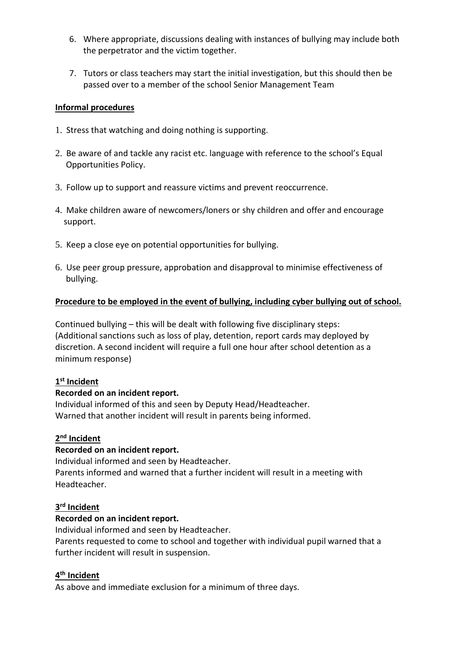- 6. Where appropriate, discussions dealing with instances of bullying may include both the perpetrator and the victim together.
- 7. Tutors or class teachers may start the initial investigation, but this should then be passed over to a member of the school Senior Management Team

## **Informal procedures**

- 1. Stress that watching and doing nothing is supporting.
- 2. Be aware of and tackle any racist etc. language with reference to the school's Equal Opportunities Policy.
- 3. Follow up to support and reassure victims and prevent reoccurrence.
- 4. Make children aware of newcomers/loners or shy children and offer and encourage support.
- 5. Keep a close eye on potential opportunities for bullying.
- 6. Use peer group pressure, approbation and disapproval to minimise effectiveness of bullying.

## **Procedure to be employed in the event of bullying, including cyber bullying out of school.**

Continued bullying – this will be dealt with following five disciplinary steps: (Additional sanctions such as loss of play, detention, report cards may deployed by discretion. A second incident will require a full one hour after school detention as a minimum response)

# **1 st Incident**

#### **Recorded on an incident report.**

Individual informed of this and seen by Deputy Head/Headteacher. Warned that another incident will result in parents being informed.

# **2 nd Incident**

# **Recorded on an incident report.**

Individual informed and seen by Headteacher. Parents informed and warned that a further incident will result in a meeting with Headteacher.

#### **3 rd Incident**

# **Recorded on an incident report.**

Individual informed and seen by Headteacher.

Parents requested to come to school and together with individual pupil warned that a further incident will result in suspension.

# **4 th Incident**

As above and immediate exclusion for a minimum of three days.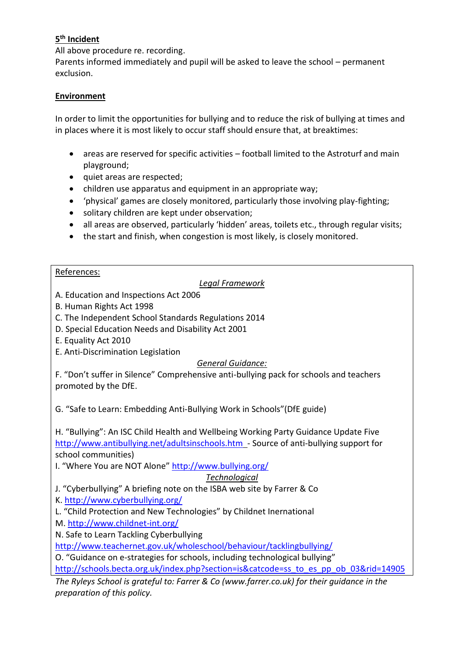# **5 th Incident**

All above procedure re. recording.

Parents informed immediately and pupil will be asked to leave the school – permanent exclusion.

## **Environment**

In order to limit the opportunities for bullying and to reduce the risk of bullying at times and in places where it is most likely to occur staff should ensure that, at breaktimes:

- areas are reserved for specific activities football limited to the Astroturf and main playground;
- quiet areas are respected;
- children use apparatus and equipment in an appropriate way;
- 'physical' games are closely monitored, particularly those involving play-fighting;
- solitary children are kept under observation;
- all areas are observed, particularly 'hidden' areas, toilets etc., through regular visits;
- the start and finish, when congestion is most likely, is closely monitored.

#### References:

## *Legal Framework*

- A. Education and Inspections Act 2006
- B. Human Rights Act 1998
- C. The Independent School Standards Regulations 2014
- D. Special Education Needs and Disability Act 2001
- E. Equality Act 2010
- E. Anti-Discrimination Legislation

# *General Guidance:*

F. "Don't suffer in Silence" Comprehensive anti-bullying pack for schools and teachers promoted by the DfE.

G. "Safe to Learn: Embedding Anti-Bullying Work in Schools"(DfE guide)

H. "Bullying": An ISC Child Health and Wellbeing Working Party Guidance Update Five <http://www.antibullying.net/adultsinschools.htm>- Source of anti-bullying support for school communities)

I. "Where You are NOT Alone" <http://www.bullying.org/>

# *Technological*

J. "Cyberbullying" A briefing note on the ISBA web site by Farrer & Co

K.<http://www.cyberbullying.org/>

- L. "Child Protection and New Technologies" by Childnet Inernational
- M.<http://www.childnet-int.org/>

N. Safe to Learn Tackling Cyberbullying

<http://www.teachernet.gov.uk/wholeschool/behaviour/tacklingbullying/>

O. "Guidance on e-strategies for schools, including technological bullying"

[http://schools.becta.org.uk/index.php?section=is&catcode=ss\\_to\\_es\\_pp\\_ob\\_03&rid=14905](http://schools.becta.org.uk/index.php?section=is&catcode=ss_to_es_pp_ob_03&rid=14905)

*The Ryleys School is grateful to: Farrer & Co (www.farrer.co.uk) for their guidance in the preparation of this policy.*